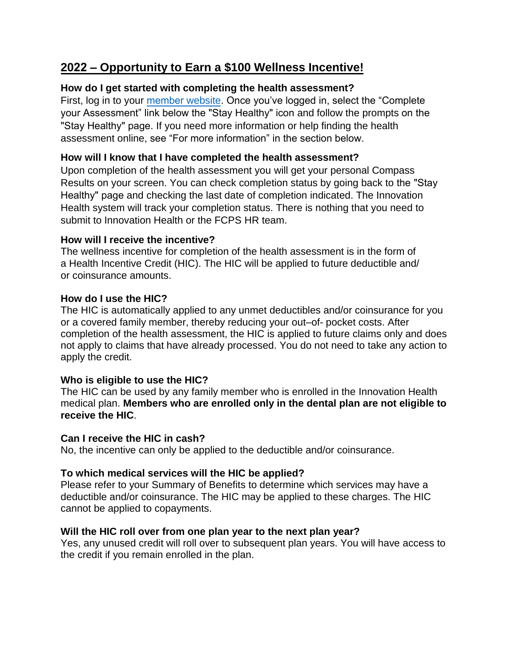# **2022 – Opportunity to Earn a \$100 Wellness Incentive!**

# **How do I get started with completing the health assessment?**

First, log in to your [member](https://www.aetna.com/about-us/login.html) website. Once you've logged in, select the "Complete" your Assessment" link below the "Stay Healthy" icon and follow the prompts on the "Stay Healthy" page. If you need more information or help finding the health assessment online, see "For more information" in the section below.

## **How will I know that I have completed the health assessment?**

Upon completion of the health assessment you will get your personal Compass Results on your screen. You can check completion status by going back to the "Stay Healthy" page and checking the last date of completion indicated. The Innovation Health system will track your completion status. There is nothing that you need to submit to Innovation Health or the FCPS HR team.

## **How will I receive the incentive?**

The wellness incentive for completion of the health assessment is in the form of a Health Incentive Credit (HIC). The HIC will be applied to future deductible and/ or coinsurance amounts.

## **How do I use the HIC?**

The HIC is automatically applied to any unmet deductibles and/or coinsurance for you or a covered family member, thereby reducing your out–of- pocket costs. After completion of the health assessment, the HIC is applied to future claims only and does not apply to claims that have already processed. You do not need to take any action to apply the credit.

# **Who is eligible to use the HIC?**

The HIC can be used by any family member who is enrolled in the Innovation Health medical plan. **Members who are enrolled only in the dental plan are not eligible to receive the HIC**.

## **Can I receive the HIC in cash?**

No, the incentive can only be applied to the deductible and/or coinsurance.

## **To which medical services will the HIC be applied?**

Please refer to your Summary of Benefits to determine which services may have a deductible and/or coinsurance. The HIC may be applied to these charges. The HIC cannot be applied to copayments.

## **Will the HIC roll over from one plan year to the next plan year?**

Yes, any unused credit will roll over to subsequent plan years. You will have access to the credit if you remain enrolled in the plan.